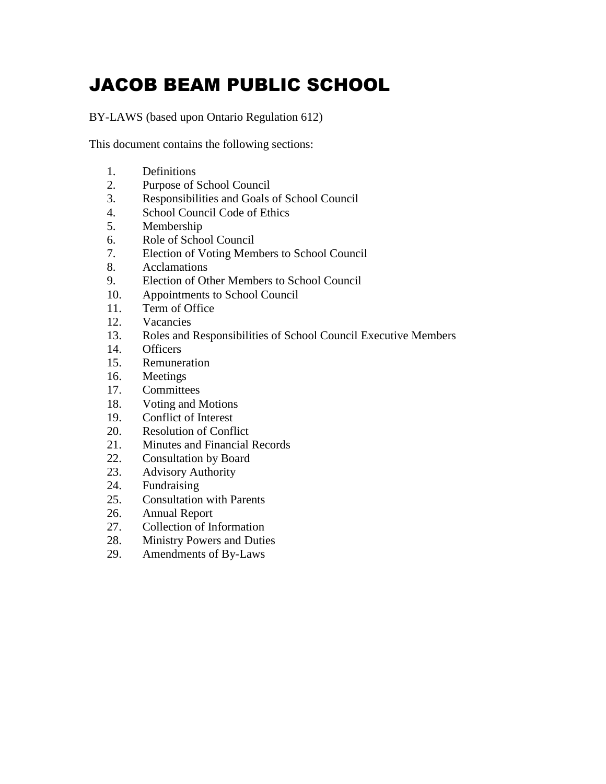# JACOB BEAM PUBLIC SCHOOL

BY-LAWS (based upon Ontario Regulation 612)

This document contains the following sections:

- 1. Definitions
- 2. Purpose of School Council
- 3. Responsibilities and Goals of School Council
- 4. School Council Code of Ethics
- 5. Membership
- 6. Role of School Council
- 7. Election of Voting Members to School Council
- 8. Acclamations
- 9. Election of Other Members to School Council
- 10. Appointments to School Council
- 11. Term of Office
- 12. Vacancies
- 13. Roles and Responsibilities of School Council Executive Members
- 14. Officers
- 15. Remuneration
- 16. Meetings
- 17. Committees
- 18. Voting and Motions
- 19. Conflict of Interest
- 20. Resolution of Conflict
- 21. Minutes and Financial Records
- 22. Consultation by Board
- 23. Advisory Authority
- 24. Fundraising
- 25. Consultation with Parents
- 26. Annual Report
- 27. Collection of Information
- 28. Ministry Powers and Duties
- 29. Amendments of By-Laws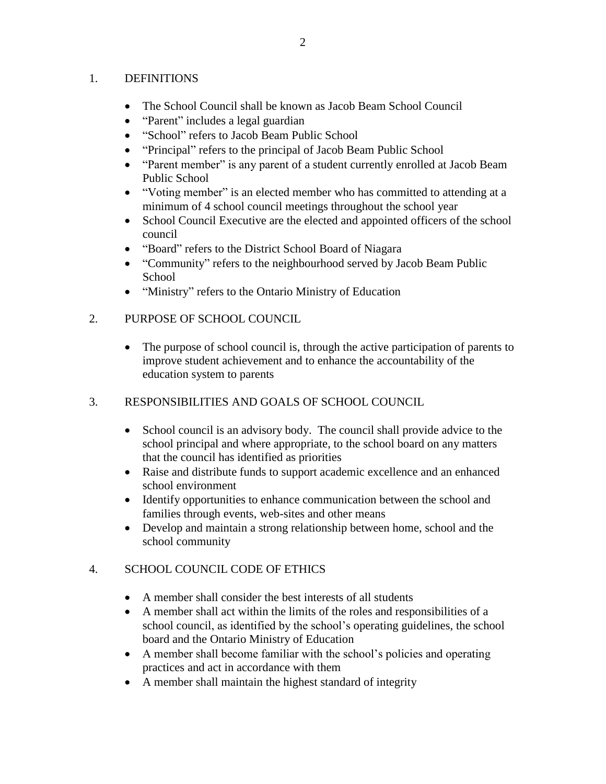#### 1. DEFINITIONS

- The School Council shall be known as Jacob Beam School Council
- "Parent" includes a legal guardian
- "School" refers to Jacob Beam Public School
- "Principal" refers to the principal of Jacob Beam Public School
- "Parent member" is any parent of a student currently enrolled at Jacob Beam Public School
- "Voting member" is an elected member who has committed to attending at a minimum of 4 school council meetings throughout the school year
- School Council Executive are the elected and appointed officers of the school council
- "Board" refers to the District School Board of Niagara
- "Community" refers to the neighbourhood served by Jacob Beam Public **School**
- "Ministry" refers to the Ontario Ministry of Education

## 2. PURPOSE OF SCHOOL COUNCIL

- The purpose of school council is, through the active participation of parents to improve student achievement and to enhance the accountability of the education system to parents
- 3. RESPONSIBILITIES AND GOALS OF SCHOOL COUNCIL
	- School council is an advisory body. The council shall provide advice to the school principal and where appropriate, to the school board on any matters that the council has identified as priorities
	- Raise and distribute funds to support academic excellence and an enhanced school environment
	- Identify opportunities to enhance communication between the school and families through events, web-sites and other means
	- Develop and maintain a strong relationship between home, school and the school community

# 4. SCHOOL COUNCIL CODE OF ETHICS

- A member shall consider the best interests of all students
- A member shall act within the limits of the roles and responsibilities of a school council, as identified by the school's operating guidelines, the school board and the Ontario Ministry of Education
- A member shall become familiar with the school's policies and operating practices and act in accordance with them
- A member shall maintain the highest standard of integrity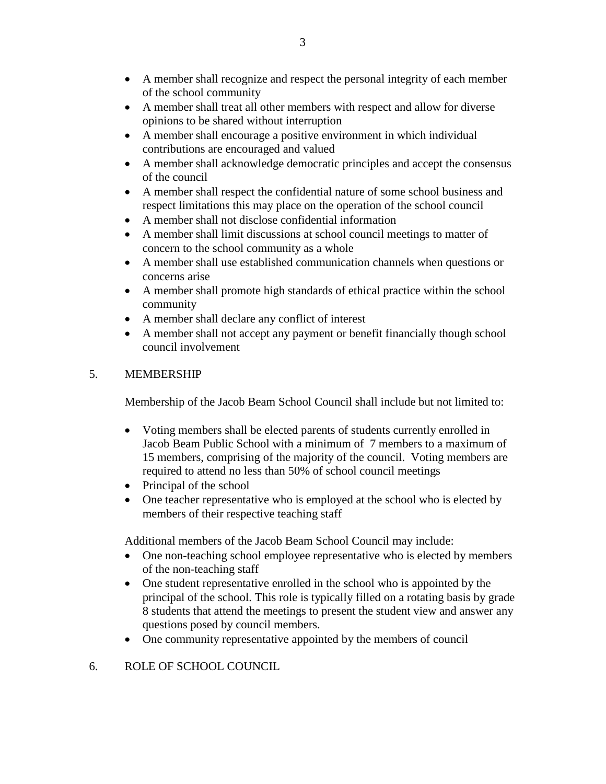- A member shall recognize and respect the personal integrity of each member of the school community
- A member shall treat all other members with respect and allow for diverse opinions to be shared without interruption
- A member shall encourage a positive environment in which individual contributions are encouraged and valued
- A member shall acknowledge democratic principles and accept the consensus of the council
- A member shall respect the confidential nature of some school business and respect limitations this may place on the operation of the school council
- A member shall not disclose confidential information
- A member shall limit discussions at school council meetings to matter of concern to the school community as a whole
- A member shall use established communication channels when questions or concerns arise
- A member shall promote high standards of ethical practice within the school community
- A member shall declare any conflict of interest
- A member shall not accept any payment or benefit financially though school council involvement

## 5. MEMBERSHIP

Membership of the Jacob Beam School Council shall include but not limited to:

- Voting members shall be elected parents of students currently enrolled in Jacob Beam Public School with a minimum of 7 members to a maximum of 15 members, comprising of the majority of the council. Voting members are required to attend no less than 50% of school council meetings
- $\bullet$  Principal of the school
- One teacher representative who is employed at the school who is elected by members of their respective teaching staff

Additional members of the Jacob Beam School Council may include:

- One non-teaching school employee representative who is elected by members of the non-teaching staff
- One student representative enrolled in the school who is appointed by the principal of the school. This role is typically filled on a rotating basis by grade 8 students that attend the meetings to present the student view and answer any questions posed by council members.
- One community representative appointed by the members of council

# 6. ROLE OF SCHOOL COUNCIL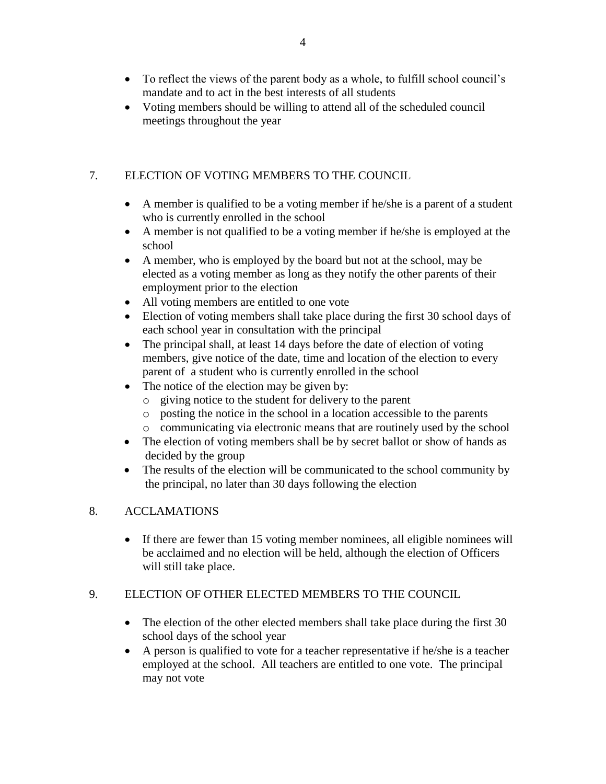- To reflect the views of the parent body as a whole, to fulfill school council's mandate and to act in the best interests of all students
- Voting members should be willing to attend all of the scheduled council meetings throughout the year

# 7. ELECTION OF VOTING MEMBERS TO THE COUNCIL

- A member is qualified to be a voting member if he/she is a parent of a student who is currently enrolled in the school
- A member is not qualified to be a voting member if he/she is employed at the school
- A member, who is employed by the board but not at the school, may be elected as a voting member as long as they notify the other parents of their employment prior to the election
- All voting members are entitled to one vote
- Election of voting members shall take place during the first 30 school days of each school year in consultation with the principal
- The principal shall, at least 14 days before the date of election of voting members, give notice of the date, time and location of the election to every parent of a student who is currently enrolled in the school
- The notice of the election may be given by:
	- o giving notice to the student for delivery to the parent
	- o posting the notice in the school in a location accessible to the parents
	- o communicating via electronic means that are routinely used by the school
- The election of voting members shall be by secret ballot or show of hands as decided by the group
- The results of the election will be communicated to the school community by the principal, no later than 30 days following the election

# 8. ACCLAMATIONS

 If there are fewer than 15 voting member nominees, all eligible nominees will be acclaimed and no election will be held, although the election of Officers will still take place.

# 9. ELECTION OF OTHER ELECTED MEMBERS TO THE COUNCIL

- The election of the other elected members shall take place during the first 30 school days of the school year
- A person is qualified to vote for a teacher representative if he/she is a teacher employed at the school. All teachers are entitled to one vote. The principal may not vote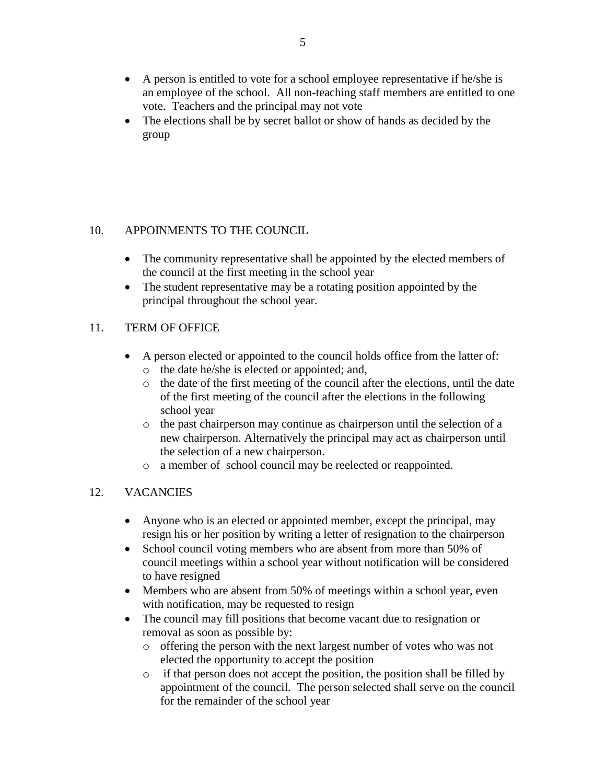- A person is entitled to vote for a school employee representative if he/she is an employee of the school. All non-teaching staff members are entitled to one vote. Teachers and the principal may not vote
- The elections shall be by secret ballot or show of hands as decided by the group

## 10. APPOINMENTS TO THE COUNCIL

- The community representative shall be appointed by the elected members of the council at the first meeting in the school year
- The student representative may be a rotating position appointed by the principal throughout the school year.

## 11. TERM OF OFFICE

- A person elected or appointed to the council holds office from the latter of: o the date he/she is elected or appointed; and,
	- o the date of the first meeting of the council after the elections, until the date of the first meeting of the council after the elections in the following school year
	- o the past chairperson may continue as chairperson until the selection of a new chairperson. Alternatively the principal may act as chairperson until the selection of a new chairperson.
	- o a member of school council may be reelected or reappointed.

# 12. VACANCIES

- Anyone who is an elected or appointed member, except the principal, may resign his or her position by writing a letter of resignation to the chairperson
- School council voting members who are absent from more than 50% of council meetings within a school year without notification will be considered to have resigned
- Members who are absent from 50% of meetings within a school year, even with notification, may be requested to resign
- The council may fill positions that become vacant due to resignation or removal as soon as possible by:
	- o offering the person with the next largest number of votes who was not elected the opportunity to accept the position
	- o if that person does not accept the position, the position shall be filled by appointment of the council. The person selected shall serve on the council for the remainder of the school year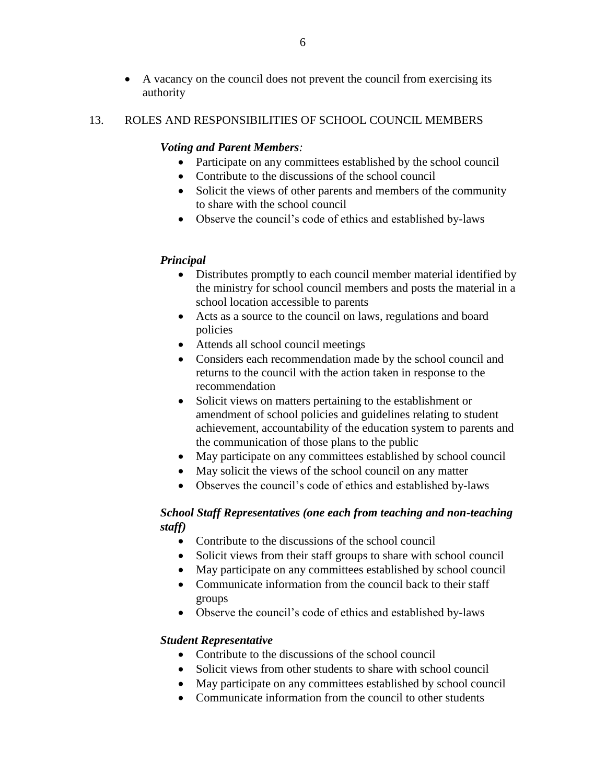A vacancy on the council does not prevent the council from exercising its authority

#### 13. ROLES AND RESPONSIBILITIES OF SCHOOL COUNCIL MEMBERS

#### *Voting and Parent Members:*

- Participate on any committees established by the school council
- Contribute to the discussions of the school council
- Solicit the views of other parents and members of the community to share with the school council
- Observe the council's code of ethics and established by-laws

#### *Principal*

- Distributes promptly to each council member material identified by the ministry for school council members and posts the material in a school location accessible to parents
- Acts as a source to the council on laws, regulations and board policies
- Attends all school council meetings
- Considers each recommendation made by the school council and returns to the council with the action taken in response to the recommendation
- Solicit views on matters pertaining to the establishment or amendment of school policies and guidelines relating to student achievement, accountability of the education system to parents and the communication of those plans to the public
- May participate on any committees established by school council
- May solicit the views of the school council on any matter
- Observes the council's code of ethics and established by-laws

## *School Staff Representatives (one each from teaching and non-teaching staff)*

- Contribute to the discussions of the school council
- Solicit views from their staff groups to share with school council
- May participate on any committees established by school council
- Communicate information from the council back to their staff groups
- Observe the council's code of ethics and established by-laws

#### *Student Representative*

- Contribute to the discussions of the school council
- Solicit views from other students to share with school council
- May participate on any committees established by school council
- Communicate information from the council to other students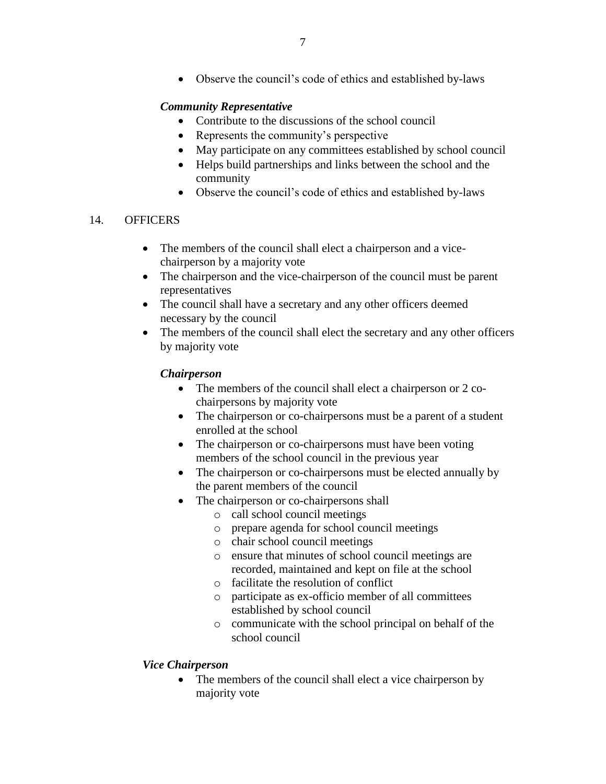Observe the council's code of ethics and established by-laws

## *Community Representative*

- Contribute to the discussions of the school council
- Represents the community's perspective
- May participate on any committees established by school council
- Helps build partnerships and links between the school and the community
- Observe the council's code of ethics and established by-laws

#### 14. OFFICERS

- The members of the council shall elect a chairperson and a vicechairperson by a majority vote
- The chairperson and the vice-chairperson of the council must be parent representatives
- The council shall have a secretary and any other officers deemed necessary by the council
- The members of the council shall elect the secretary and any other officers by majority vote

## *Chairperson*

- The members of the council shall elect a chairperson or 2 cochairpersons by majority vote
- The chairperson or co-chairpersons must be a parent of a student enrolled at the school
- The chairperson or co-chairpersons must have been voting members of the school council in the previous year
- The chairperson or co-chairpersons must be elected annually by the parent members of the council
- The chairperson or co-chairpersons shall
	- o call school council meetings
	- o prepare agenda for school council meetings
	- o chair school council meetings
	- o ensure that minutes of school council meetings are recorded, maintained and kept on file at the school
	- o facilitate the resolution of conflict
	- o participate as ex-officio member of all committees established by school council
	- o communicate with the school principal on behalf of the school council

## *Vice Chairperson*

• The members of the council shall elect a vice chairperson by majority vote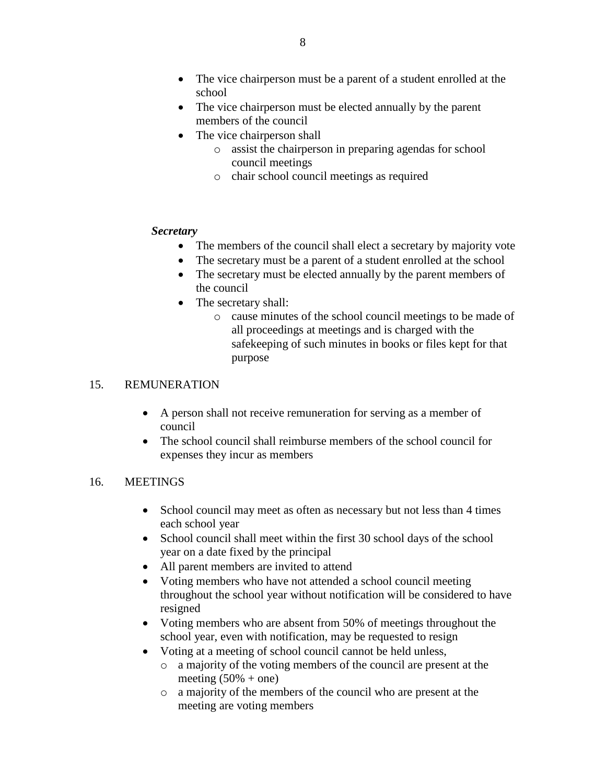- The vice chairperson must be a parent of a student enrolled at the school
- The vice chairperson must be elected annually by the parent members of the council
- The vice chairperson shall
	- o assist the chairperson in preparing agendas for school council meetings
	- o chair school council meetings as required

#### *Secretary*

- The members of the council shall elect a secretary by majority vote
- The secretary must be a parent of a student enrolled at the school
- The secretary must be elected annually by the parent members of the council
- The secretary shall:
	- o cause minutes of the school council meetings to be made of all proceedings at meetings and is charged with the safekeeping of such minutes in books or files kept for that purpose

## 15. REMUNERATION

- A person shall not receive remuneration for serving as a member of council
- The school council shall reimburse members of the school council for expenses they incur as members

## 16. MEETINGS

- School council may meet as often as necessary but not less than 4 times each school year
- School council shall meet within the first 30 school days of the school year on a date fixed by the principal
- All parent members are invited to attend
- Voting members who have not attended a school council meeting throughout the school year without notification will be considered to have resigned
- Voting members who are absent from 50% of meetings throughout the school year, even with notification, may be requested to resign
- Voting at a meeting of school council cannot be held unless,
	- o a majority of the voting members of the council are present at the meeting  $(50\% + \text{one})$
	- o a majority of the members of the council who are present at the meeting are voting members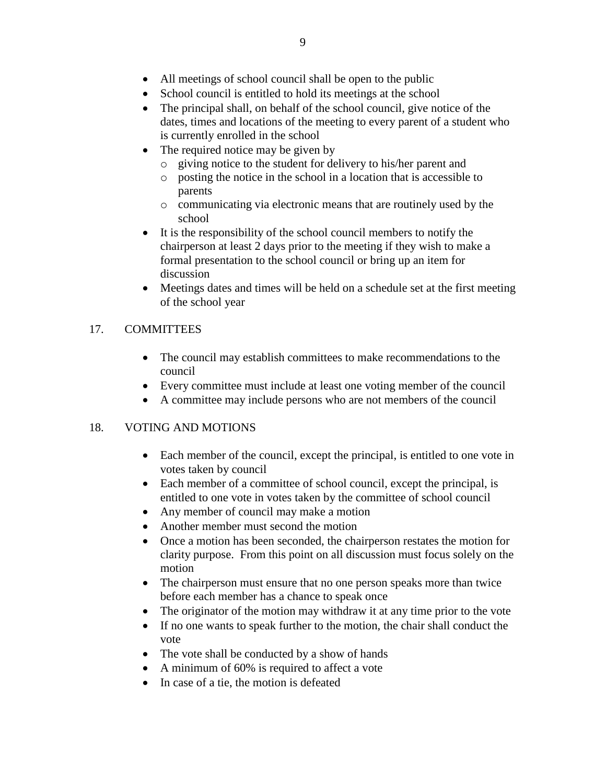- All meetings of school council shall be open to the public
- School council is entitled to hold its meetings at the school
- The principal shall, on behalf of the school council, give notice of the dates, times and locations of the meeting to every parent of a student who is currently enrolled in the school
- The required notice may be given by
	- o giving notice to the student for delivery to his/her parent and
	- o posting the notice in the school in a location that is accessible to parents
	- o communicating via electronic means that are routinely used by the school
- It is the responsibility of the school council members to notify the chairperson at least 2 days prior to the meeting if they wish to make a formal presentation to the school council or bring up an item for discussion
- Meetings dates and times will be held on a schedule set at the first meeting of the school year

# 17. COMMITTEES

- The council may establish committees to make recommendations to the council
- Every committee must include at least one voting member of the council
- A committee may include persons who are not members of the council

## 18. VOTING AND MOTIONS

- Each member of the council, except the principal, is entitled to one vote in votes taken by council
- Each member of a committee of school council, except the principal, is entitled to one vote in votes taken by the committee of school council
- Any member of council may make a motion
- Another member must second the motion
- Once a motion has been seconded, the chairperson restates the motion for clarity purpose. From this point on all discussion must focus solely on the motion
- The chairperson must ensure that no one person speaks more than twice before each member has a chance to speak once
- The originator of the motion may withdraw it at any time prior to the vote
- If no one wants to speak further to the motion, the chair shall conduct the vote
- The vote shall be conducted by a show of hands
- A minimum of 60% is required to affect a vote
- In case of a tie, the motion is defeated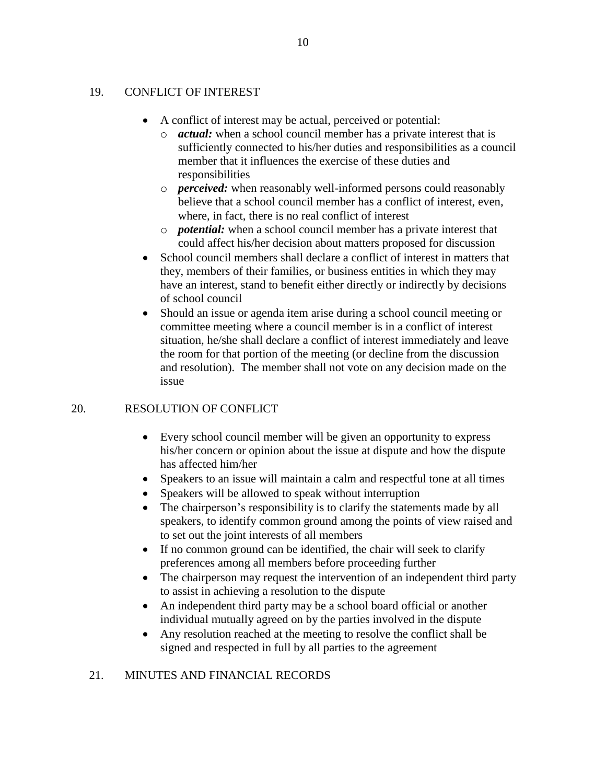#### 19. CONFLICT OF INTEREST

- A conflict of interest may be actual, perceived or potential:
	- o *actual:* when a school council member has a private interest that is sufficiently connected to his/her duties and responsibilities as a council member that it influences the exercise of these duties and responsibilities
	- o *perceived:* when reasonably well-informed persons could reasonably believe that a school council member has a conflict of interest, even, where, in fact, there is no real conflict of interest
	- o *potential:* when a school council member has a private interest that could affect his/her decision about matters proposed for discussion
- School council members shall declare a conflict of interest in matters that they, members of their families, or business entities in which they may have an interest, stand to benefit either directly or indirectly by decisions of school council
- Should an issue or agenda item arise during a school council meeting or committee meeting where a council member is in a conflict of interest situation, he/she shall declare a conflict of interest immediately and leave the room for that portion of the meeting (or decline from the discussion and resolution). The member shall not vote on any decision made on the issue

## 20. RESOLUTION OF CONFLICT

- Every school council member will be given an opportunity to express his/her concern or opinion about the issue at dispute and how the dispute has affected him/her
- Speakers to an issue will maintain a calm and respectful tone at all times
- Speakers will be allowed to speak without interruption
- The chairperson's responsibility is to clarify the statements made by all speakers, to identify common ground among the points of view raised and to set out the joint interests of all members
- If no common ground can be identified, the chair will seek to clarify preferences among all members before proceeding further
- The chairperson may request the intervention of an independent third party to assist in achieving a resolution to the dispute
- An independent third party may be a school board official or another individual mutually agreed on by the parties involved in the dispute
- Any resolution reached at the meeting to resolve the conflict shall be signed and respected in full by all parties to the agreement

# 21. MINUTES AND FINANCIAL RECORDS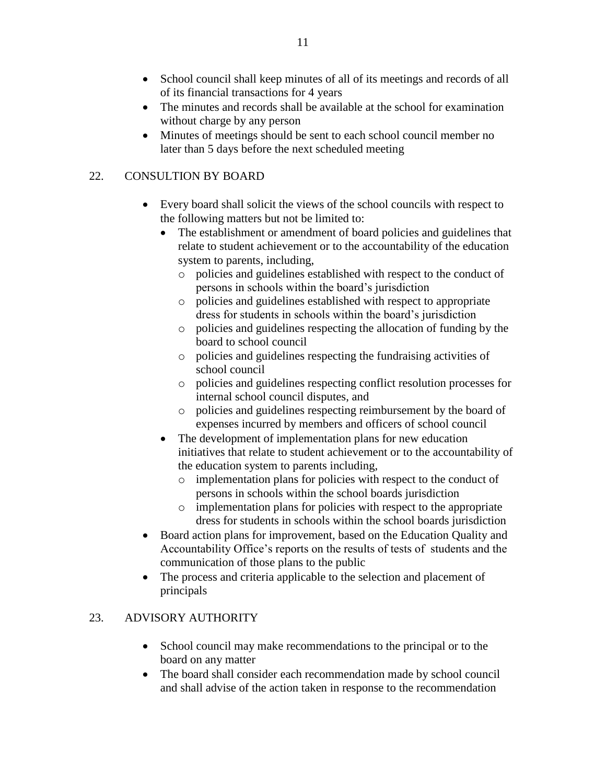- School council shall keep minutes of all of its meetings and records of all of its financial transactions for 4 years
- The minutes and records shall be available at the school for examination without charge by any person
- Minutes of meetings should be sent to each school council member no later than 5 days before the next scheduled meeting

# 22. CONSULTION BY BOARD

- Every board shall solicit the views of the school councils with respect to the following matters but not be limited to:
	- The establishment or amendment of board policies and guidelines that relate to student achievement or to the accountability of the education system to parents, including,
		- o policies and guidelines established with respect to the conduct of persons in schools within the board's jurisdiction
		- o policies and guidelines established with respect to appropriate dress for students in schools within the board's jurisdiction
		- o policies and guidelines respecting the allocation of funding by the board to school council
		- o policies and guidelines respecting the fundraising activities of school council
		- o policies and guidelines respecting conflict resolution processes for internal school council disputes, and
		- o policies and guidelines respecting reimbursement by the board of expenses incurred by members and officers of school council
	- The development of implementation plans for new education initiatives that relate to student achievement or to the accountability of the education system to parents including,
		- o implementation plans for policies with respect to the conduct of persons in schools within the school boards jurisdiction
		- o implementation plans for policies with respect to the appropriate dress for students in schools within the school boards jurisdiction
- Board action plans for improvement, based on the Education Quality and Accountability Office's reports on the results of tests of students and the communication of those plans to the public
- The process and criteria applicable to the selection and placement of principals

# 23. ADVISORY AUTHORITY

- School council may make recommendations to the principal or to the board on any matter
- The board shall consider each recommendation made by school council and shall advise of the action taken in response to the recommendation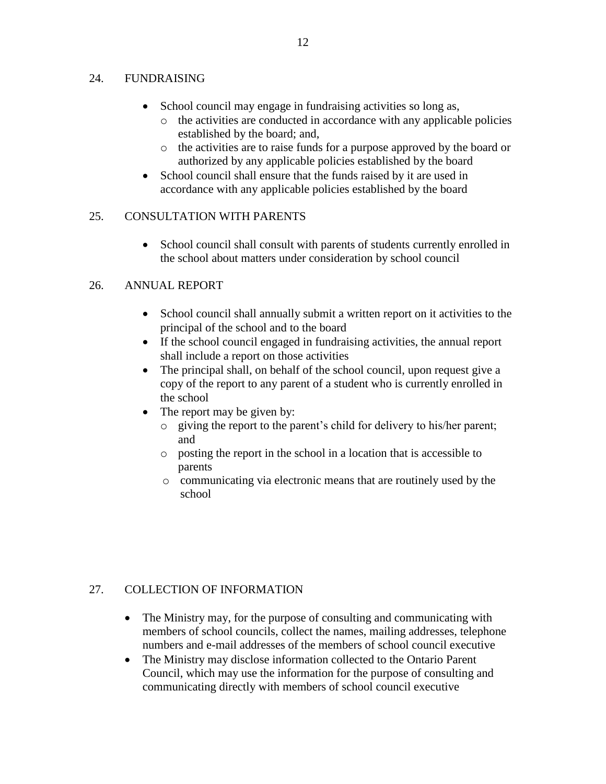#### 24. FUNDRAISING

- School council may engage in fundraising activities so long as,
	- o the activities are conducted in accordance with any applicable policies established by the board; and,
	- o the activities are to raise funds for a purpose approved by the board or authorized by any applicable policies established by the board
- School council shall ensure that the funds raised by it are used in accordance with any applicable policies established by the board

## 25. CONSULTATION WITH PARENTS

• School council shall consult with parents of students currently enrolled in the school about matters under consideration by school council

## 26. ANNUAL REPORT

- School council shall annually submit a written report on it activities to the principal of the school and to the board
- If the school council engaged in fundraising activities, the annual report shall include a report on those activities
- The principal shall, on behalf of the school council, upon request give a copy of the report to any parent of a student who is currently enrolled in the school
- The report may be given by:
	- o giving the report to the parent's child for delivery to his/her parent; and
	- o posting the report in the school in a location that is accessible to parents
	- o communicating via electronic means that are routinely used by the school

# 27. COLLECTION OF INFORMATION

- The Ministry may, for the purpose of consulting and communicating with members of school councils, collect the names, mailing addresses, telephone numbers and e-mail addresses of the members of school council executive
- The Ministry may disclose information collected to the Ontario Parent Council, which may use the information for the purpose of consulting and communicating directly with members of school council executive